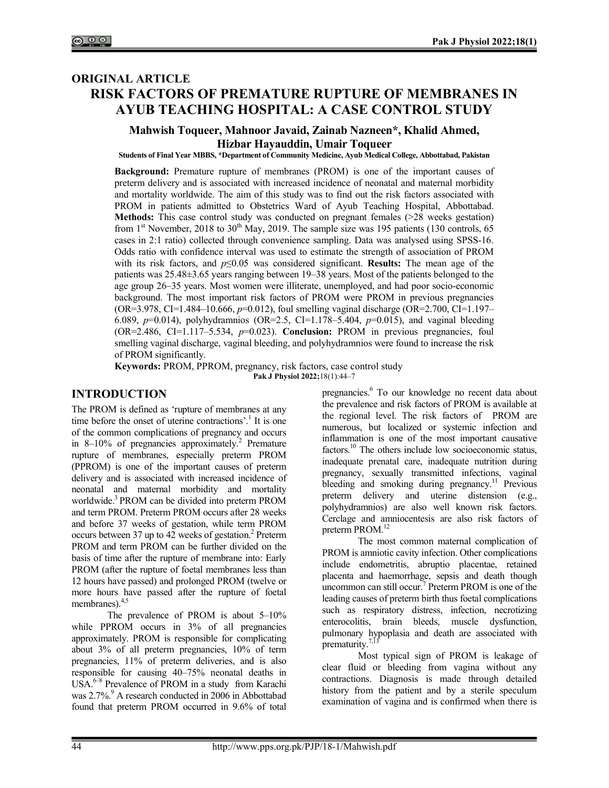# ORIGINAL ARTICLE RISK FACTORS OF PREMATURE RUPTURE OF MEMBRANES IN AYUB TEACHING HOSPITAL: A CASE CONTROL STUDY

# Mahwish Toqueer, Mahnoor Javaid, Zainab Nazneen\*, Khalid Ahmed, Hizbar Hayauddin, Umair Toqueer

Students of Final Year MBBS, \*Department of Community Medicine, Ayub Medical College, Abbottabad, Pakistan

Background: Premature rupture of membranes (PROM) is one of the important causes of preterm delivery and is associated with increased incidence of neonatal and maternal morbidity and mortality worldwide. The aim of this study was to find out the risk factors associated with PROM in patients admitted to Obstetrics Ward of Ayub Teaching Hospital, Abbottabad. Methods: This case control study was conducted on pregnant females (>28 weeks gestation) from 1<sup>st</sup> November, 2018 to 30<sup>th</sup> May, 2019. The sample size was 195 patients (130 controls, 65 cases in 2:1 ratio) collected through convenience sampling. Data was analysed using SPSS-16. Odds ratio with confidence interval was used to estimate the strength of association of PROM with its risk factors, and  $p \le 0.05$  was considered significant. Results: The mean age of the patients was 25.48±3.65 years ranging between 19–38 years. Most of the patients belonged to the age group 26–35 years. Most women were illiterate, unemployed, and had poor socio-economic background. The most important risk factors of PROM were PROM in previous pregnancies  $(OR=3.978, CI=1.484-10.666, p=0.012)$ , foul smelling vaginal discharge  $(OR=2.700, CI=1.197-1.00)$ 6.089,  $p=0.014$ ), polyhydramnios (OR=2.5, CI=1.178–5.404,  $p=0.015$ ), and vaginal bleeding  $(OR=2.486, CI=1.117-5.534, p=0.023)$ . Conclusion: PROM in previous pregnancies, foul smelling vaginal discharge, vaginal bleeding, and polyhydramnios were found to increase the risk of PROM significantly.

Keywords: PROM, PPROM, pregnancy, risk factors, case control study Pak J Physiol 2022;18(1):44–7

# INTRODUCTION

The PROM is defined as 'rupture of membranes at any time before the onset of uterine contractions'.<sup>1</sup> It is one of the common complications of pregnancy and occurs in 8–10% of pregnancies approximately.<sup>2</sup> Premature rupture of membranes, especially preterm PROM (PPROM) is one of the important causes of preterm delivery and is associated with increased incidence of neonatal and maternal morbidity and mortality worldwide.<sup>3</sup> PROM can be divided into preterm PROM and term PROM. Preterm PROM occurs after 28 weeks and before 37 weeks of gestation, while term PROM occurs between 37 up to 42 weeks of gestation.<sup>2</sup> Preterm PROM and term PROM can be further divided on the basis of time after the rupture of membrane into: Early PROM (after the rupture of foetal membranes less than 12 hours have passed) and prolonged PROM (twelve or more hours have passed after the rupture of foetal membranes).4,5

The prevalence of PROM is about 5–10% while PPROM occurs in 3% of all pregnancies approximately. PROM is responsible for complicating about 3% of all preterm pregnancies, 10% of term pregnancies, 11% of preterm deliveries, and is also responsible for causing 40–75% neonatal deaths in USA.<sup>6-8</sup> Prevalence of PROM in a study from Karachi was 2.7%.<sup>9</sup> A research conducted in 2006 in Abbottabad found that preterm PROM occurred in 9.6% of total

pregnancies.<sup>6</sup> To our knowledge no recent data about the prevalence and risk factors of PROM is available at the regional level. The risk factors of PROM are numerous, but localized or systemic infection and inflammation is one of the most important causative factors.<sup>10</sup> The others include low socioeconomic status, inadequate prenatal care, inadequate nutrition during pregnancy, sexually transmitted infections, vaginal bleeding and smoking during pregnancy.<sup>11</sup> Previous preterm delivery and uterine distension (e.g., polyhydramnios) are also well known risk factors. Cerclage and amniocentesis are also risk factors of preterm PROM.<sup>12</sup>

The most common maternal complication of PROM is amniotic cavity infection. Other complications include endometritis, abruptio placentae, retained placenta and haemorrhage, sepsis and death though uncommon can still occur.<sup>7</sup> Preterm PROM is one of the leading causes of preterm birth thus foetal complications such as respiratory distress, infection, necrotizing enterocolitis, brain bleeds, muscle dysfunction, pulmonary hypoplasia and death are associated with prematurity.<sup>7,13</sup>

Most typical sign of PROM is leakage of clear fluid or bleeding from vagina without any contractions. Diagnosis is made through detailed history from the patient and by a sterile speculum examination of vagina and is confirmed when there is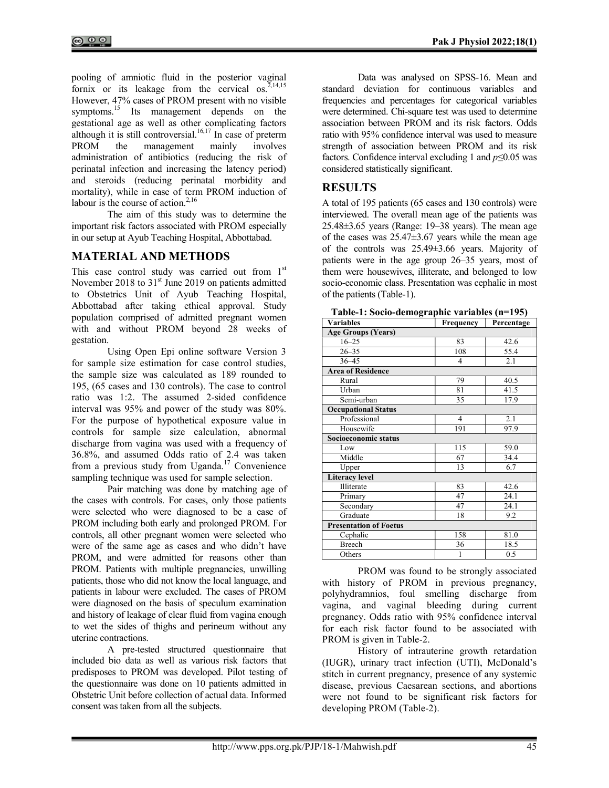pooling of amniotic fluid in the posterior vaginal fornix or its leakage from the cervical  $\cos^{2.14,15}$ However, 47% cases of PROM present with no visible symptoms.<sup>15</sup> Its management depends on the gestational age as well as other complicating factors although it is still controversial.<sup>16,17</sup> In case of preterm PROM the management mainly involves administration of antibiotics (reducing the risk of perinatal infection and increasing the latency period) and steroids (reducing perinatal morbidity and mortality), while in case of term PROM induction of labour is the course of action. $2,16$ 

The aim of this study was to determine the important risk factors associated with PROM especially in our setup at Ayub Teaching Hospital, Abbottabad.

# MATERIAL AND METHODS

This case control study was carried out from  $1<sup>st</sup>$ November 2018 to  $31<sup>st</sup>$  June 2019 on patients admitted to Obstetrics Unit of Ayub Teaching Hospital, Abbottabad after taking ethical approval. Study population comprised of admitted pregnant women with and without PROM beyond 28 weeks of gestation.

Using Open Epi online software Version 3 for sample size estimation for case control studies, the sample size was calculated as 189 rounded to 195, (65 cases and 130 controls). The case to control ratio was 1:2. The assumed 2-sided confidence interval was 95% and power of the study was 80%. For the purpose of hypothetical exposure value in controls for sample size calculation, abnormal discharge from vagina was used with a frequency of 36.8%, and assumed Odds ratio of 2.4 was taken from a previous study from Uganda.<sup>17</sup> Convenience sampling technique was used for sample selection.

Pair matching was done by matching age of the cases with controls. For cases, only those patients were selected who were diagnosed to be a case of PROM including both early and prolonged PROM. For controls, all other pregnant women were selected who were of the same age as cases and who didn't have PROM, and were admitted for reasons other than PROM. Patients with multiple pregnancies, unwilling patients, those who did not know the local language, and patients in labour were excluded. The cases of PROM were diagnosed on the basis of speculum examination and history of leakage of clear fluid from vagina enough to wet the sides of thighs and perineum without any uterine contractions.

A pre-tested structured questionnaire that included bio data as well as various risk factors that predisposes to PROM was developed. Pilot testing of the questionnaire was done on 10 patients admitted in Obstetric Unit before collection of actual data. Informed consent was taken from all the subjects.

Data was analysed on SPSS-16. Mean and standard deviation for continuous variables and frequencies and percentages for categorical variables were determined. Chi-square test was used to determine association between PROM and its risk factors. Odds ratio with 95% confidence interval was used to measure strength of association between PROM and its risk factors. Confidence interval excluding 1 and  $p \le 0.05$  was considered statistically significant.

## RESULTS

A total of 195 patients (65 cases and 130 controls) were interviewed. The overall mean age of the patients was  $25.48\pm3.65$  years (Range: 19–38 years). The mean age of the cases was  $25.47 \pm 3.67$  years while the mean age of the controls was 25.49±3.66 years. Majority of patients were in the age group 26–35 years, most of them were housewives, illiterate, and belonged to low socio-economic class. Presentation was cephalic in most of the patients (Table-1).

| Table-1: Socio-demographic variables (n=195) |                             |  |
|----------------------------------------------|-----------------------------|--|
| Variahles                                    | <b>Frequency</b> Percentage |  |

| Variables                     | Frequency      | Percentage |  |  |  |  |  |
|-------------------------------|----------------|------------|--|--|--|--|--|
| <b>Age Groups (Years)</b>     |                |            |  |  |  |  |  |
| $16 - 25$                     | 83             | 42.6       |  |  |  |  |  |
| $26 - 35$                     | 108            | 55.4       |  |  |  |  |  |
| $36 - 45$                     | $\overline{4}$ | 2.1        |  |  |  |  |  |
| <b>Area of Residence</b>      |                |            |  |  |  |  |  |
| Rural                         | 79             | 40.5       |  |  |  |  |  |
| Urban                         | 81             | 41.5       |  |  |  |  |  |
| Semi-urban                    | 35             | 17.9       |  |  |  |  |  |
| <b>Occupational Status</b>    |                |            |  |  |  |  |  |
| Professional                  | $\overline{4}$ | 2.1        |  |  |  |  |  |
| Housewife                     | 191            | 97.9       |  |  |  |  |  |
| Socioeconomic status          |                |            |  |  |  |  |  |
| Low                           | 115            | 59.0       |  |  |  |  |  |
| Middle                        | 67             | 34.4       |  |  |  |  |  |
| Upper                         | 13             | 6.7        |  |  |  |  |  |
| <b>Literacy level</b>         |                |            |  |  |  |  |  |
| Illiterate                    | 83             | 42.6       |  |  |  |  |  |
| Primary                       | 47             | 24.1       |  |  |  |  |  |
| Secondary                     | 47             | 24.1       |  |  |  |  |  |
| Graduate                      | 18             | 9.2        |  |  |  |  |  |
| <b>Presentation of Foetus</b> |                |            |  |  |  |  |  |
| Cephalic                      | 158            | 81.0       |  |  |  |  |  |
| <b>Breech</b>                 | 36             | 18.5       |  |  |  |  |  |
| Others                        | $\mathbf{1}$   | 0.5        |  |  |  |  |  |

PROM was found to be strongly associated with history of PROM in previous pregnancy, polyhydramnios, foul smelling discharge from vagina, and vaginal bleeding during current pregnancy. Odds ratio with 95% confidence interval for each risk factor found to be associated with PROM is given in Table-2.

History of intrauterine growth retardation (IUGR), urinary tract infection (UTI), McDonald's stitch in current pregnancy, presence of any systemic disease, previous Caesarean sections, and abortions were not found to be significant risk factors for developing PROM (Table-2).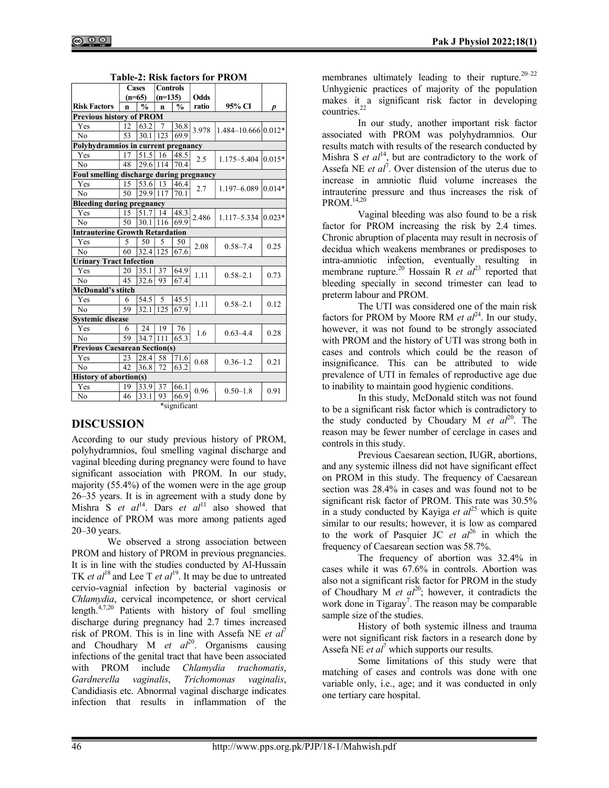|                                          |          | <b>Controls</b><br><b>Cases</b> |                  |               |       |                         |           |  |  |
|------------------------------------------|----------|---------------------------------|------------------|---------------|-------|-------------------------|-----------|--|--|
|                                          | $(n=65)$ |                                 | $(n=135)$        |               | Odds  |                         |           |  |  |
| <b>Risk Factors</b>                      | n        | $\frac{0}{0}$                   | n                | $\frac{0}{0}$ | ratio | 95% CI                  | p         |  |  |
| <b>Previous history of PROM</b>          |          |                                 |                  |               |       |                         |           |  |  |
| Yes                                      | 12       | 63.2                            | 7                | 36.8          | 3.978 | $1.484 - 10.66610.012*$ |           |  |  |
| N <sub>0</sub>                           | 53       | 30.1                            | 123              | 69.9          |       |                         |           |  |  |
| Polyhydramnios in current pregnancy      |          |                                 |                  |               |       |                         |           |  |  |
| Yes                                      | 17       | 51.5                            | 16               | 48.5          | 2.5   | 1.175-5.404             | $0.015*$  |  |  |
| No                                       | 48       | 29.6                            | 114              | 70.4          |       |                         |           |  |  |
| Foul smelling discharge during pregnancy |          |                                 |                  |               |       |                         |           |  |  |
| Yes                                      | 15       | 53.6                            | 13               | 46.4          | 2.7   | 1.197-6.089             | $0.014*$  |  |  |
| N <sub>0</sub>                           | 50       | 29.9 117                        |                  | 70.1          |       |                         |           |  |  |
| <b>Bleeding during pregnancy</b>         |          |                                 |                  |               |       |                         |           |  |  |
| Yes                                      | 15       | 51.7                            | 14               | 48.3          | 2.486 | $1.117 - 5.334$         | $ 0.023*$ |  |  |
| No                                       | 50       | 30.1                            | 116              | 69.9          |       |                         |           |  |  |
| <b>Intrauterine Growth Retardation</b>   |          |                                 |                  |               |       |                         |           |  |  |
| Yes                                      | 5        | 50                              | 5                | 50            | 2.08  | $0.58 - 7.4$            | 0.25      |  |  |
| No                                       | 60       | $32.4$  125                     |                  | 67.6          |       |                         |           |  |  |
| <b>Urinary Tract Infection</b>           |          |                                 |                  |               |       |                         |           |  |  |
| Yes                                      | 20       | 35.1                            | 37               | 64.9          | 1.11  | $0.58 - 2.1$            | 0.73      |  |  |
| No                                       | 45       | 32.6                            | 93               | 67.4          |       |                         |           |  |  |
| <b>McDonald's stitch</b>                 |          |                                 |                  |               |       |                         |           |  |  |
| Yes                                      | 6        | 54.5                            | 5                | 45.5          | 1.11  | $0.58 - 2.1$            | 0.12      |  |  |
| N <sub>0</sub>                           | 59       | 32.1                            | $\overline{1}25$ | 67.9          |       |                         |           |  |  |
| <b>Systemic disease</b>                  |          |                                 |                  |               |       |                         |           |  |  |
| Yes                                      | 6        | 24                              | 19               | 76            | 1.6   | $0.63 - 4.4$            | 0.28      |  |  |
| N <sub>0</sub>                           | 59       | 34.7                            | 111              | 65.3          |       |                         |           |  |  |
| <b>Previous Caesarean Section(s)</b>     |          |                                 |                  |               |       |                         |           |  |  |
| Yes                                      | 23       | 28.4                            | 58               | 71.6          | 0.68  | $0.36 - 1.2$            | 0.21      |  |  |
| N <sub>0</sub>                           | 42       | 36.8                            | 72               | 63.2          |       |                         |           |  |  |
| <b>History of abortion(s)</b>            |          |                                 |                  |               |       |                         |           |  |  |
| Yes                                      | 19       | 33.9                            | 37               | 66.1          | 0.96  | $0.50 - 1.8$            | 0.91      |  |  |
| No                                       | 46       | 33.1                            | 93               | 66.9          |       |                         |           |  |  |
| *significant                             |          |                                 |                  |               |       |                         |           |  |  |

#### DISCUSSION

According to our study previous history of PROM, polyhydramnios, foul smelling vaginal discharge and vaginal bleeding during pregnancy were found to have significant association with PROM. In our study, majority (55.4%) of the women were in the age group 26–35 years. It is in agreement with a study done by Mishra S et  $al^{14}$ . Dars et  $al^{11}$  also showed that incidence of PROM was more among patients aged 20–30 years.

We observed a strong association between PROM and history of PROM in previous pregnancies. It is in line with the studies conducted by Al-Hussain TK et al<sup>18</sup> and Lee T et al<sup>19</sup>. It may be due to untreated cervio-vagnial infection by bacterial vaginosis or Chlamydia, cervical incompetence, or short cervical length.4,7,20 Patients with history of foul smelling discharge during pregnancy had 2.7 times increased risk of PROM. This is in line with Assefa NE et  $al^7$ and Choudhary M et  $al^{20}$ . Organisms causing infections of the genital tract that have been associated with PROM include Chlamydia trachomatis, Gardnerella vaginalis, Trichomonas vaginalis, Candidiasis etc. Abnormal vaginal discharge indicates infection that results in inflammation of the

membranes ultimately leading to their rupture. $20-22$ Unhygienic practices of majority of the population makes it a significant risk factor in developing countries. $2^2$ 

In our study, another important risk factor associated with PROM was polyhydramnios. Our results match with results of the research conducted by Mishra S et  $al_{2}^{14}$ , but are contradictory to the work of Assefa NE *et al*<sup> $\overline{t}$ </sup>. Over distension of the uterus due to increase in amniotic fluid volume increases the intrauterine pressure and thus increases the risk of PROM.14,20

Vaginal bleeding was also found to be a risk factor for PROM increasing the risk by 2.4 times. Chronic abruption of placenta may result in necrosis of decidua which weakens membranes or predisposes to intra-amniotic infection, eventually resulting in membrane rupture.<sup>20</sup> Hossain R *et al*<sup>23</sup> reported that bleeding specially in second trimester can lead to preterm labour and PROM.

The UTI was considered one of the main risk factors for PROM by Moore RM *et al*<sup>24</sup>. In our study, however, it was not found to be strongly associated with PROM and the history of UTI was strong both in cases and controls which could be the reason of insignificance. This can be attributed to wide prevalence of UTI in females of reproductive age due to inability to maintain good hygienic conditions.

In this study, McDonald stitch was not found to be a significant risk factor which is contradictory to the study conducted by Choudary M *et al*<sup>20</sup>. The reason may be fewer number of cerclage in cases and controls in this study.

Previous Caesarean section, IUGR, abortions, and any systemic illness did not have significant effect on PROM in this study. The frequency of Caesarean section was 28.4% in cases and was found not to be significant risk factor of PROM. This rate was 30.5% in a study conducted by Kayiga et  $al^{25}$  which is quite similar to our results; however, it is low as compared to the work of Pasquier JC et  $al^{26}$  in which the frequency of Caesarean section was 58.7%.

The frequency of abortion was 32.4% in cases while it was 67.6% in controls. Abortion was also not a significant risk factor for PROM in the study of Choudhary M et  $al^{20}$ ; however, it contradicts the work done in Tigaray<sup>7</sup>. The reason may be comparable sample size of the studies.

History of both systemic illness and trauma were not significant risk factors in a research done by Assefa NE *et al*<sup>7</sup> which supports our results.

Some limitations of this study were that matching of cases and controls was done with one variable only, i.e., age; and it was conducted in only one tertiary care hospital.